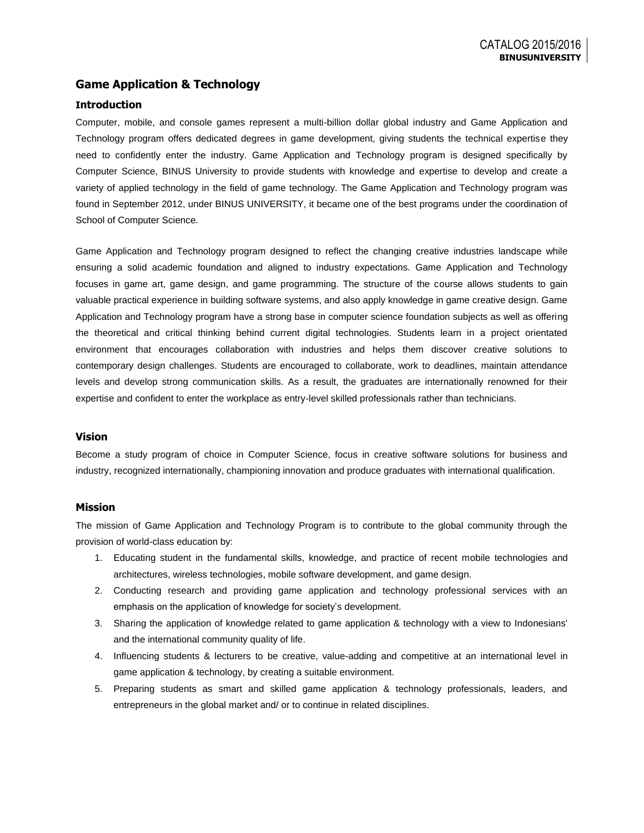## **Game Application & Technology**

### **Introduction**

Computer, mobile, and console games represent a multi-billion dollar global industry and Game Application and Technology program offers dedicated degrees in game development, giving students the technical expertise they need to confidently enter the industry. Game Application and Technology program is designed specifically by Computer Science, BINUS University to provide students with knowledge and expertise to develop and create a variety of applied technology in the field of game technology. The Game Application and Technology program was found in September 2012, under BINUS UNIVERSITY, it became one of the best programs under the coordination of School of Computer Science.

Game Application and Technology program designed to reflect the changing creative industries landscape while ensuring a solid academic foundation and aligned to industry expectations. Game Application and Technology focuses in game art, game design, and game programming. The structure of the course allows students to gain valuable practical experience in building software systems, and also apply knowledge in game creative design. Game Application and Technology program have a strong base in computer science foundation subjects as well as offering the theoretical and critical thinking behind current digital technologies. Students learn in a project orientated environment that encourages collaboration with industries and helps them discover creative solutions to contemporary design challenges. Students are encouraged to collaborate, work to deadlines, maintain attendance levels and develop strong communication skills. As a result, the graduates are internationally renowned for their expertise and confident to enter the workplace as entry-level skilled professionals rather than technicians.

#### **Vision**

Become a study program of choice in Computer Science, focus in creative software solutions for business and industry, recognized internationally, championing innovation and produce graduates with international qualification.

#### **Mission**

The mission of Game Application and Technology Program is to contribute to the global community through the provision of world-class education by:

- 1. Educating student in the fundamental skills, knowledge, and practice of recent mobile technologies and architectures, wireless technologies, mobile software development, and game design.
- 2. Conducting research and providing game application and technology professional services with an emphasis on the application of knowledge for society's development.
- 3. Sharing the application of knowledge related to game application & technology with a view to Indonesians' and the international community quality of life.
- 4. Influencing students & lecturers to be creative, value-adding and competitive at an international level in game application & technology, by creating a suitable environment.
- 5. Preparing students as smart and skilled game application & technology professionals, leaders, and entrepreneurs in the global market and/ or to continue in related disciplines.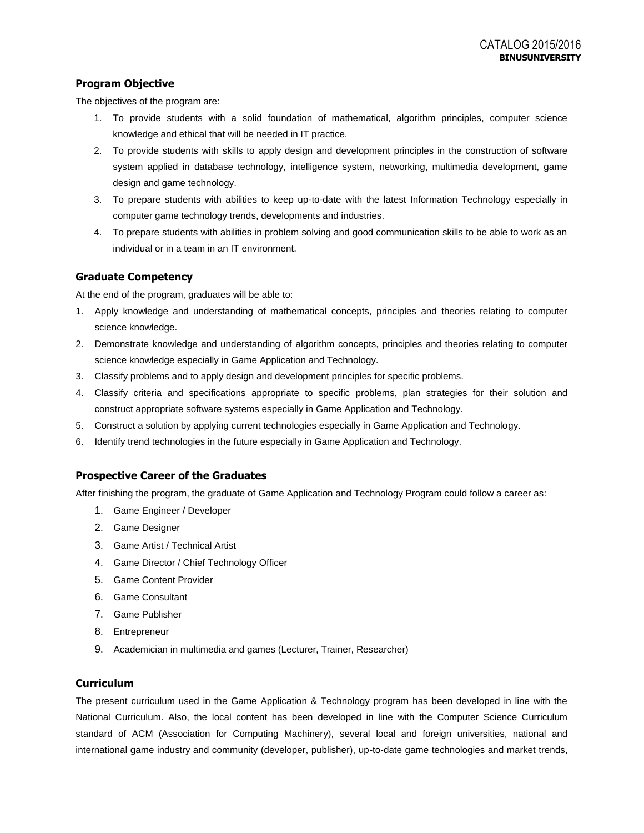## **Program Objective**

The objectives of the program are:

- 1. To provide students with a solid foundation of mathematical, algorithm principles, computer science knowledge and ethical that will be needed in IT practice.
- 2. To provide students with skills to apply design and development principles in the construction of software system applied in database technology, intelligence system, networking, multimedia development, game design and game technology.
- 3. To prepare students with abilities to keep up-to-date with the latest Information Technology especially in computer game technology trends, developments and industries.
- 4. To prepare students with abilities in problem solving and good communication skills to be able to work as an individual or in a team in an IT environment.

## **Graduate Competency**

At the end of the program, graduates will be able to:

- 1. Apply knowledge and understanding of mathematical concepts, principles and theories relating to computer science knowledge.
- 2. Demonstrate knowledge and understanding of algorithm concepts, principles and theories relating to computer science knowledge especially in Game Application and Technology.
- 3. Classify problems and to apply design and development principles for specific problems.
- 4. Classify criteria and specifications appropriate to specific problems, plan strategies for their solution and construct appropriate software systems especially in Game Application and Technology.
- 5. Construct a solution by applying current technologies especially in Game Application and Technology.
- 6. Identify trend technologies in the future especially in Game Application and Technology.

### **Prospective Career of the Graduates**

After finishing the program, the graduate of Game Application and Technology Program could follow a career as:

- 1. Game Engineer / Developer
- 2. Game Designer
- 3. Game Artist / Technical Artist
- 4. Game Director / Chief Technology Officer
- 5. Game Content Provider
- 6. Game Consultant
- 7. Game Publisher
- 8. Entrepreneur
- 9. Academician in multimedia and games (Lecturer, Trainer, Researcher)

### **Curriculum**

The present curriculum used in the Game Application & Technology program has been developed in line with the National Curriculum. Also, the local content has been developed in line with the Computer Science Curriculum standard of ACM (Association for Computing Machinery), several local and foreign universities, national and international game industry and community (developer, publisher), up-to-date game technologies and market trends,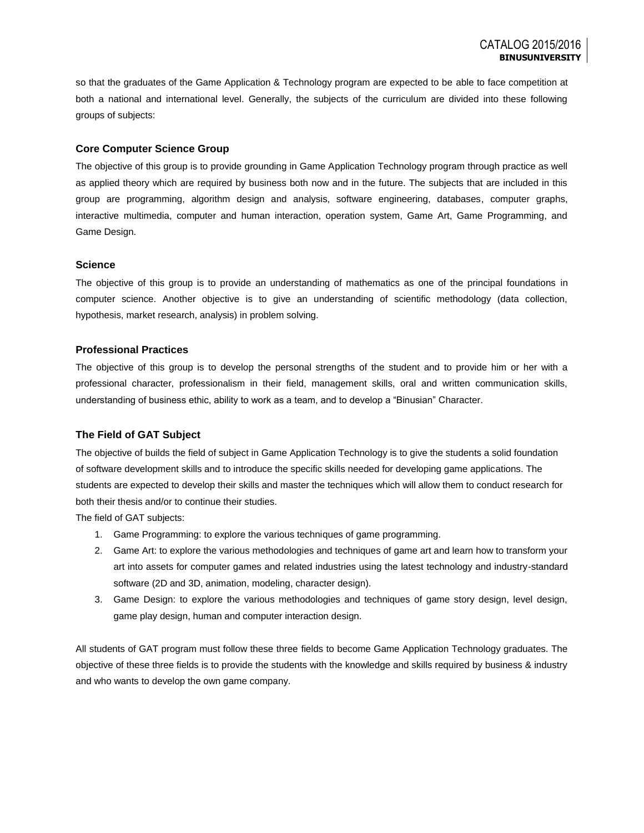so that the graduates of the Game Application & Technology program are expected to be able to face competition at both a national and international level. Generally, the subjects of the curriculum are divided into these following groups of subjects:

### **Core Computer Science Group**

The objective of this group is to provide grounding in Game Application Technology program through practice as well as applied theory which are required by business both now and in the future. The subjects that are included in this group are programming, algorithm design and analysis, software engineering, databases, computer graphs, interactive multimedia, computer and human interaction, operation system, Game Art, Game Programming, and Game Design.

#### **Science**

The objective of this group is to provide an understanding of mathematics as one of the principal foundations in computer science. Another objective is to give an understanding of scientific methodology (data collection, hypothesis, market research, analysis) in problem solving.

#### **Professional Practices**

The objective of this group is to develop the personal strengths of the student and to provide him or her with a professional character, professionalism in their field, management skills, oral and written communication skills, understanding of business ethic, ability to work as a team, and to develop a "Binusian" Character.

#### **The Field of GAT Subject**

The objective of builds the field of subject in Game Application Technology is to give the students a solid foundation of software development skills and to introduce the specific skills needed for developing game applications. The students are expected to develop their skills and master the techniques which will allow them to conduct research for both their thesis and/or to continue their studies.

The field of GAT subjects:

- 1. Game Programming: to explore the various techniques of game programming.
- 2. Game Art: to explore the various methodologies and techniques of game art and learn how to transform your art into assets for computer games and related industries using the latest technology and industry-standard software (2D and 3D, animation, modeling, character design).
- 3. Game Design: to explore the various methodologies and techniques of game story design, level design, game play design, human and computer interaction design.

All students of GAT program must follow these three fields to become Game Application Technology graduates. The objective of these three fields is to provide the students with the knowledge and skills required by business & industry and who wants to develop the own game company.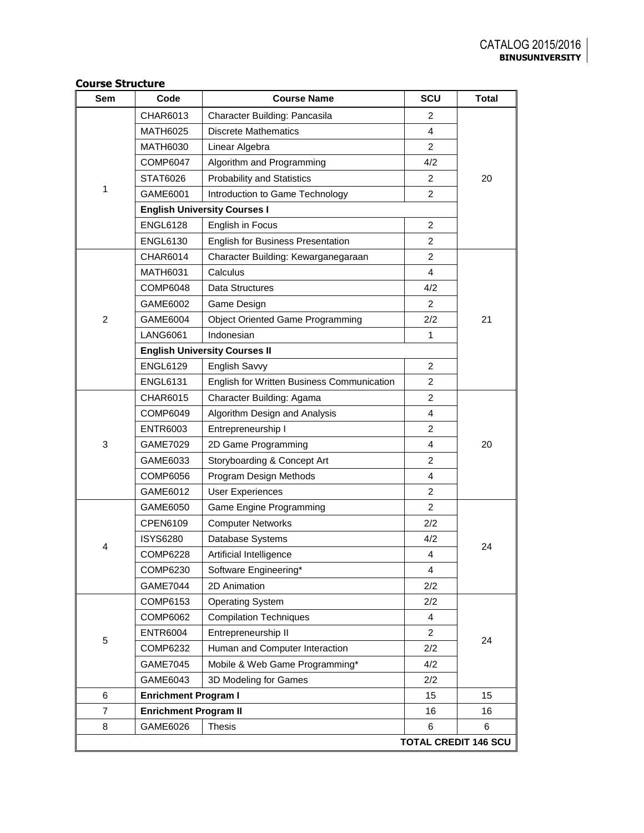## **Sem Code Course Name SCU Total** 1 CHAR6013 | Character Building: Pancasila 2 20 MATH6025 | Discrete Mathematics 4 MATH6030 | Linear Algebra 2 COMP6047 Algorithm and Programming 4/2 STAT6026 Probability and Statistics 2 GAME6001 | Introduction to Game Technology | 2 **English University Courses I** ENGL6128 | English in Focus | 2 ENGL6130 | English for Business Presentation | 2 2 CHAR6014 | Character Building: Kewarganegaraan | 2 21 MATH6031 | Calculus 4 COMP6048 Data Structures 4/2 GAME6002 Game Design 2 GAME6004 Object Oriented Game Programming 2/2 LANG6061 | Indonesian 1 | 1 **English University Courses II** ENGL6129 | English Savvy 2 ENGL6131 | English for Written Business Communication | 2 3 CHAR6015 | Character Building: Agama 20 COMP6049 | Algorithm Design and Analysis | 4 ENTR6003 | Entrepreneurship I 2 GAME7029 2D Game Programming 20 GAME6033 Storyboarding & Concept Art 2 COMP6056 | Program Design Methods | 4 GAME6012 User Experiences 2 4 GAME6050 | Game Engine Programming | 2 24 CPEN6109 Computer Networks 2/2 ISYS6280 Database Systems 4/2 COMP6228 | Artificial Intelligence | 4 COMP6230 Software Engineering\* 14 GAME7044 2D Animation 2/2 5 COMP6153 Operating System 2/2 24 COMP6062 | Compilation Techniques | 4 ENTR6004 Entrepreneurship II 2 COMP6232 Human and Computer Interaction 2/2 GAME7045 | Mobile & Web Game Programming\* | 4/2 GAME6043 3D Modeling for Games 2/2 **6 Enrichment Program I** 15 15 15 **T Enrichment Program II** 16 16 16 8 GAME6026 Thesis 6 6 **TOTAL CREDIT 146 SCU**

#### **Course Structure**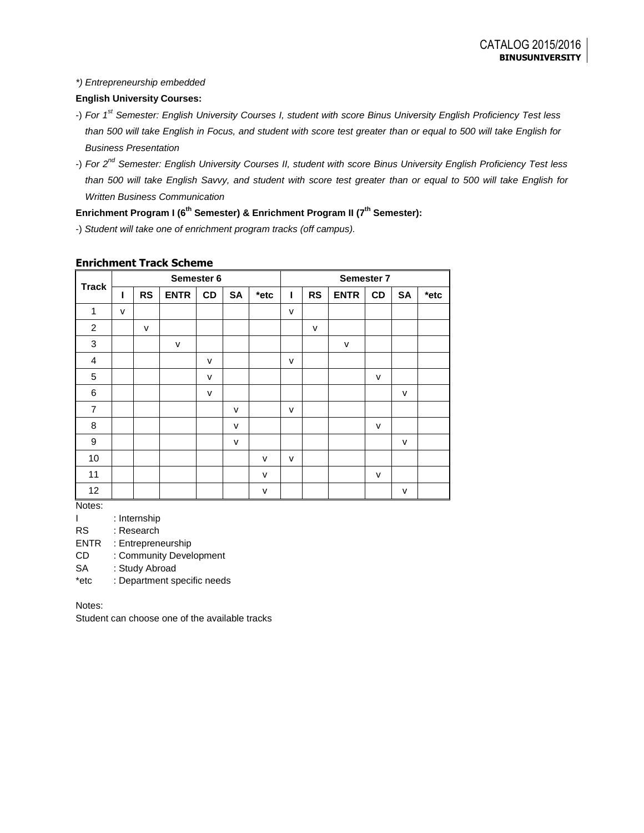### *\*) Entrepreneurship embedded*

## **English University Courses:**

- -) *For 1st Semester: English University Courses I, student with score Binus University English Proficiency Test less than 500 will take English in Focus, and student with score test greater than or equal to 500 will take English for Business Presentation*
- -) *For 2nd Semester: English University Courses II, student with score Binus University English Proficiency Test less than 500 will take English Savvy, and student with score test greater than or equal to 500 will take English for Written Business Communication*

**Enrichment Program I (6th Semester) & Enrichment Program II (7th Semester):**

-) *Student will take one of enrichment program tracks (off campus).*

|                | Semester 6 |              |             |    | Semester 7   |         |              |              |              |    |              |         |
|----------------|------------|--------------|-------------|----|--------------|---------|--------------|--------------|--------------|----|--------------|---------|
| <b>Track</b>   | ı          | <b>RS</b>    | <b>ENTR</b> | CD | <b>SA</b>    | $*$ etc | ı            | <b>RS</b>    | <b>ENTR</b>  | CD | <b>SA</b>    | $*$ etc |
| 1              | v          |              |             |    |              |         | $\mathsf{V}$ |              |              |    |              |         |
| $\overline{c}$ |            | $\mathsf{v}$ |             |    |              |         |              | $\mathsf{v}$ |              |    |              |         |
| 3              |            |              | v           |    |              |         |              |              | $\mathsf{V}$ |    |              |         |
| 4              |            |              |             | v  |              |         | $\mathsf{V}$ |              |              |    |              |         |
| 5              |            |              |             | v  |              |         |              |              |              | v  |              |         |
| 6              |            |              |             | v  |              |         |              |              |              |    | $\mathsf{v}$ |         |
| $\overline{7}$ |            |              |             |    | v            |         | v            |              |              |    |              |         |
| 8              |            |              |             |    | v            |         |              |              |              | v  |              |         |
| 9              |            |              |             |    | $\mathsf{v}$ |         |              |              |              |    | $\mathsf{v}$ |         |
| 10             |            |              |             |    |              | v       | v            |              |              |    |              |         |
| 11             |            |              |             |    |              | $\vee$  |              |              |              | v  |              |         |
| 12             |            |              |             |    |              | v       |              |              |              |    | $\mathsf{v}$ |         |

## **Enrichment Track Scheme**

Notes:

I : Internship

RS : Research

ENTR : Entrepreneurship

CD : Community Development

SA : Study Abroad

\*etc : Department specific needs

Notes:

Student can choose one of the available tracks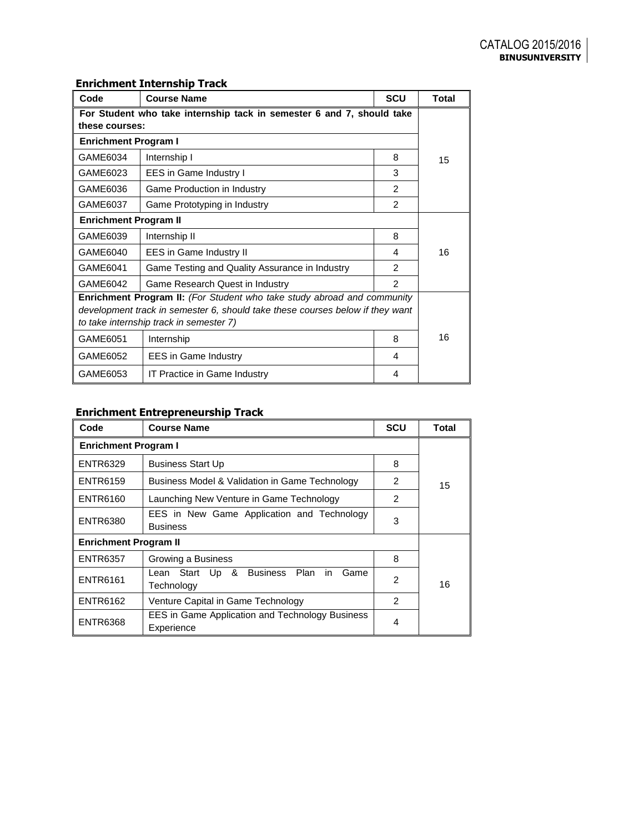| Code<br><b>Course Name</b>                                                     |                                                |                | <b>Total</b> |  |
|--------------------------------------------------------------------------------|------------------------------------------------|----------------|--------------|--|
| For Student who take internship tack in semester 6 and 7, should take          |                                                |                |              |  |
| these courses:                                                                 |                                                |                |              |  |
| <b>Enrichment Program I</b>                                                    |                                                |                |              |  |
| GAME6034                                                                       | Internship I                                   | 8              | 15           |  |
| GAME6023                                                                       | EES in Game Industry I                         | 3              |              |  |
| GAME6036                                                                       | Game Production in Industry                    | $\mathcal{P}$  |              |  |
| GAME6037                                                                       | Game Prototyping in Industry                   | $\overline{2}$ |              |  |
| <b>Enrichment Program II</b>                                                   |                                                |                |              |  |
| GAME6039                                                                       | Internship II                                  | 8              |              |  |
| GAME6040                                                                       | EES in Game Industry II                        | 4              | 16           |  |
| GAME6041                                                                       | Game Testing and Quality Assurance in Industry | $\mathcal{P}$  |              |  |
| GAME6042                                                                       | Game Research Quest in Industry                | $\mathcal{P}$  |              |  |
| <b>Enrichment Program II:</b> (For Student who take study abroad and community |                                                |                |              |  |
| development track in semester 6, should take these courses below if they want  |                                                |                |              |  |
| to take internship track in semester 7)                                        |                                                |                |              |  |
| GAME6051                                                                       | Internship                                     | 8              | 16           |  |
| GAME6052                                                                       | <b>EES</b> in Game Industry                    | 4              |              |  |
| GAME6053                                                                       | IT Practice in Game Industry                   | 4              |              |  |

# **Enrichment Internship Track**

# **Enrichment Entrepreneurship Track**

| Code                         | <b>Course Name</b>                                                   | <b>SCU</b>     | <b>Total</b> |  |
|------------------------------|----------------------------------------------------------------------|----------------|--------------|--|
| <b>Enrichment Program I</b>  |                                                                      |                |              |  |
| <b>ENTR6329</b>              | <b>Business Start Up</b>                                             | 8              |              |  |
| <b>ENTR6159</b>              | Business Model & Validation in Game Technology                       | 2              | 15           |  |
| <b>ENTR6160</b>              | Launching New Venture in Game Technology                             | 2              |              |  |
| <b>ENTR6380</b>              | EES in New Game Application and Technology<br><b>Business</b>        | 3              |              |  |
| <b>Enrichment Program II</b> |                                                                      |                |              |  |
| <b>ENTR6357</b>              | Growing a Business                                                   |                |              |  |
| <b>ENTR6161</b>              | Lean Start Up & Business Plan<br>Game<br>in.<br>Technology           | $\overline{2}$ | 16           |  |
| <b>ENTR6162</b>              | Venture Capital in Game Technology                                   |                |              |  |
| <b>ENTR6368</b>              | <b>EES in Game Application and Technology Business</b><br>Experience | 4              |              |  |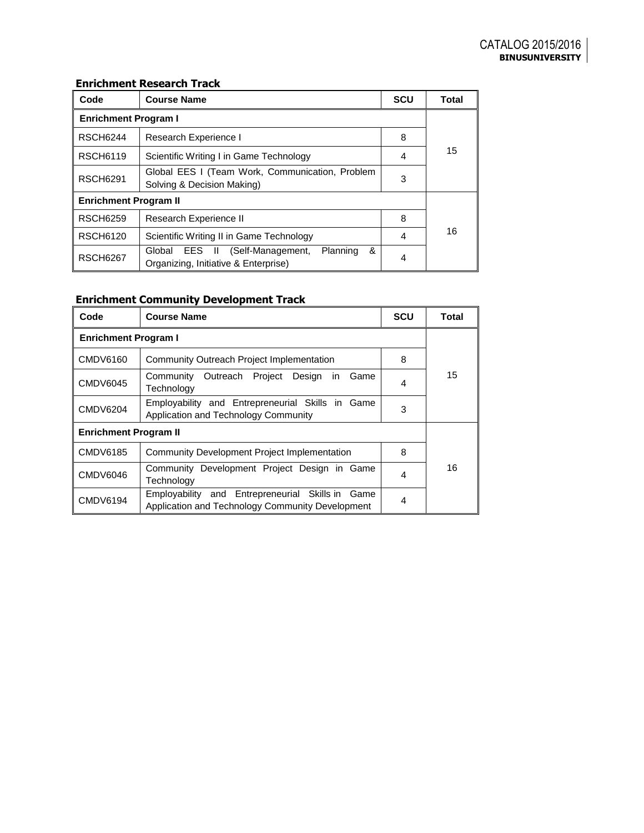# **Enrichment Research Track**

| Enrichment Research Track    |                                                                                                |            |              |  |  |  |
|------------------------------|------------------------------------------------------------------------------------------------|------------|--------------|--|--|--|
| Code                         | <b>Course Name</b>                                                                             | <b>SCU</b> | <b>Total</b> |  |  |  |
| <b>Enrichment Program I</b>  |                                                                                                |            |              |  |  |  |
| <b>RSCH6244</b>              | Research Experience I                                                                          |            |              |  |  |  |
| <b>RSCH6119</b>              | Scientific Writing I in Game Technology                                                        |            | 15           |  |  |  |
| <b>RSCH6291</b>              | 3                                                                                              |            |              |  |  |  |
| <b>Enrichment Program II</b> |                                                                                                |            |              |  |  |  |
| <b>RSCH6259</b>              | Research Experience II                                                                         | 8          |              |  |  |  |
| <b>RSCH6120</b>              | Scientific Writing II in Game Technology                                                       | 4          | 16           |  |  |  |
| <b>RSCH6267</b>              | &<br>(Self-Management,<br>Planning<br>EES II<br>Global<br>Organizing, Initiative & Enterprise) | 4          |              |  |  |  |

# **Enrichment Community Development Track**

| Code                         | <b>Course Name</b>                                                                                      | <b>SCU</b> | Total |  |
|------------------------------|---------------------------------------------------------------------------------------------------------|------------|-------|--|
| <b>Enrichment Program I</b>  |                                                                                                         |            |       |  |
| <b>CMDV6160</b>              | Community Outreach Project Implementation                                                               | 8          |       |  |
| <b>CMDV6045</b>              | Community Outreach Project Design<br>Game<br>in.<br>Technology                                          |            | 15    |  |
| <b>CMDV6204</b>              | Employability and Entrepreneurial Skills in Game<br>Application and Technology Community                | 3          |       |  |
| <b>Enrichment Program II</b> |                                                                                                         |            |       |  |
| <b>CMDV6185</b>              | <b>Community Development Project Implementation</b>                                                     | 8          |       |  |
| <b>CMDV6046</b>              | Community Development Project Design in Game<br>Technology                                              | 4          | 16    |  |
| <b>CMDV6194</b>              | Employability and Entrepreneurial Skills in<br>Game<br>Application and Technology Community Development | 4          |       |  |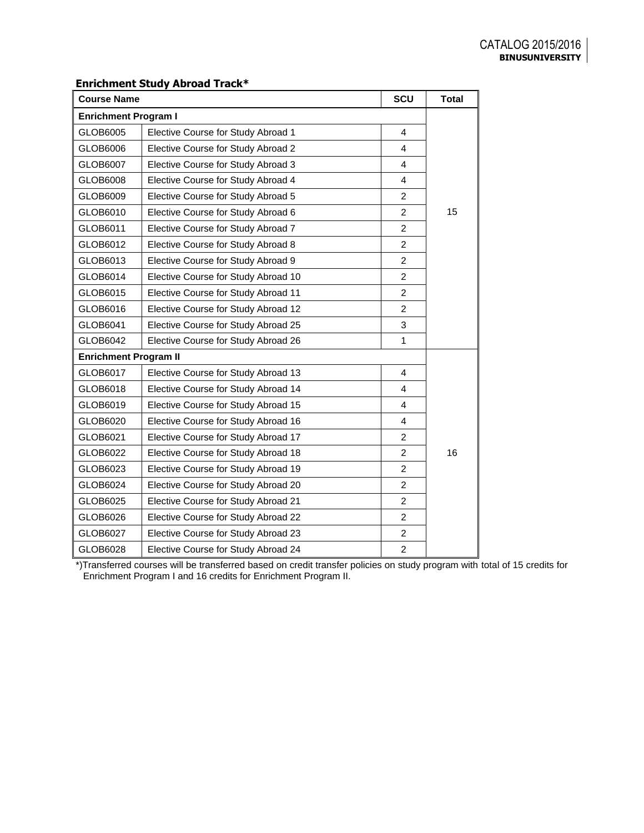## **Enrichment Study Abroad Track\***

| SCU<br><b>Course Name</b>    |                                     |                |    |  |
|------------------------------|-------------------------------------|----------------|----|--|
| <b>Enrichment Program I</b>  |                                     |                |    |  |
| GLOB6005                     | Elective Course for Study Abroad 1  | $\overline{4}$ |    |  |
| GLOB6006                     | Elective Course for Study Abroad 2  | $\overline{4}$ |    |  |
| GLOB6007                     | Elective Course for Study Abroad 3  | $\overline{4}$ |    |  |
| GLOB6008                     | Elective Course for Study Abroad 4  | $\overline{4}$ |    |  |
| GLOB6009                     | Elective Course for Study Abroad 5  | $\overline{c}$ |    |  |
| GLOB6010                     | Elective Course for Study Abroad 6  | $\overline{2}$ | 15 |  |
| GLOB6011                     | Elective Course for Study Abroad 7  | $\overline{2}$ |    |  |
| GLOB6012                     | Elective Course for Study Abroad 8  | $\overline{2}$ |    |  |
| GLOB6013                     | Elective Course for Study Abroad 9  | $\overline{2}$ |    |  |
| GLOB6014                     | Elective Course for Study Abroad 10 | 2              |    |  |
| GLOB6015                     | Elective Course for Study Abroad 11 | $\overline{2}$ |    |  |
| GLOB6016                     | Elective Course for Study Abroad 12 | $\overline{2}$ |    |  |
| GLOB6041                     | Elective Course for Study Abroad 25 | 3              |    |  |
| GLOB6042                     | Elective Course for Study Abroad 26 | 1              |    |  |
| <b>Enrichment Program II</b> |                                     |                |    |  |
| GLOB6017                     | Elective Course for Study Abroad 13 | 4              |    |  |
| GLOB6018                     | Elective Course for Study Abroad 14 | $\overline{4}$ |    |  |
| GLOB6019                     | Elective Course for Study Abroad 15 | 4              |    |  |
| GLOB6020                     | Elective Course for Study Abroad 16 | 4              |    |  |
| GLOB6021                     | Elective Course for Study Abroad 17 | $\overline{2}$ |    |  |
| GLOB6022                     | Elective Course for Study Abroad 18 | $\overline{c}$ | 16 |  |
| GLOB6023                     | Elective Course for Study Abroad 19 | $\overline{2}$ |    |  |
| GLOB6024                     | Elective Course for Study Abroad 20 | $\overline{2}$ |    |  |
| GLOB6025                     | Elective Course for Study Abroad 21 | $\overline{2}$ |    |  |
| GLOB6026                     | Elective Course for Study Abroad 22 | $\overline{2}$ |    |  |
| GLOB6027                     | Elective Course for Study Abroad 23 | $\overline{c}$ |    |  |
| GLOB6028                     | Elective Course for Study Abroad 24 | $\overline{c}$ |    |  |

\*)Transferred courses will be transferred based on credit transfer policies on study program with total of 15 credits for Enrichment Program I and 16 credits for Enrichment Program II.